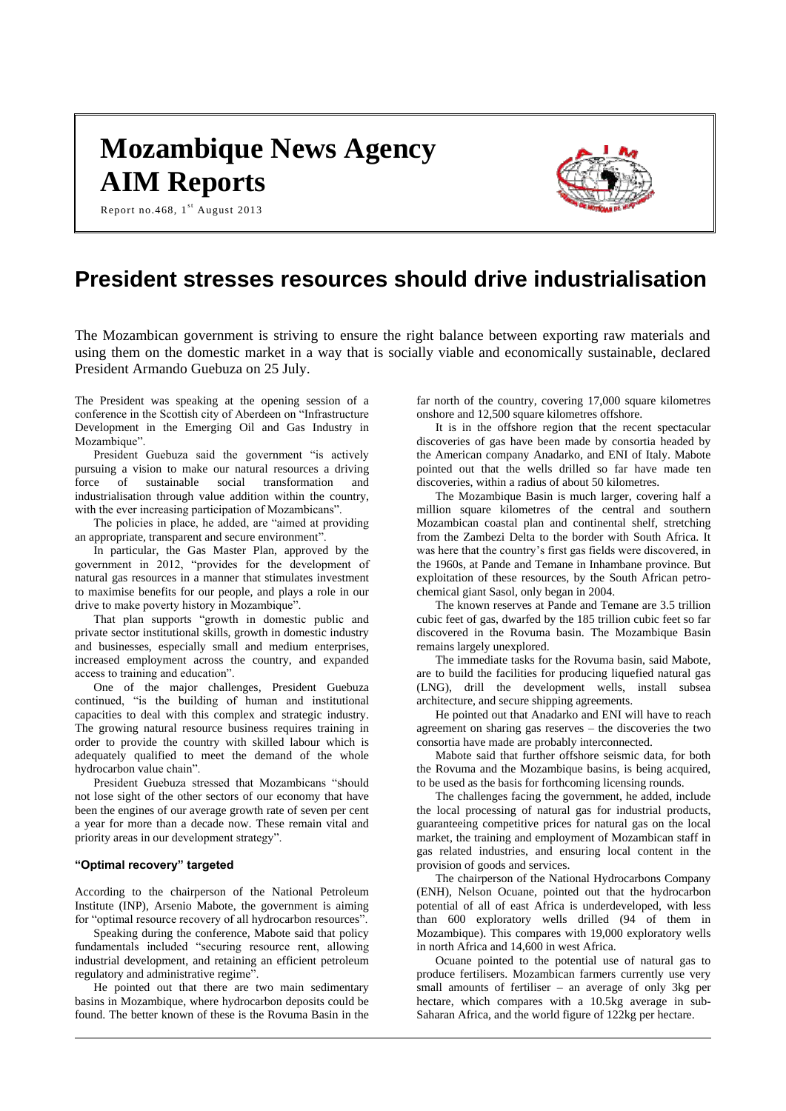# **Mozambique News Agency AIM Reports**





# **President stresses resources should drive industrialisation**

The Mozambican government is striving to ensure the right balance between exporting raw materials and using them on the domestic market in a way that is socially viable and economically sustainable, declared President Armando Guebuza on 25 July.

The President was speaking at the opening session of a conference in the Scottish city of Aberdeen on "Infrastructure Development in the Emerging Oil and Gas Industry in Mozambique".

President Guebuza said the government "is actively pursuing a vision to make our natural resources a driving<br>force of sustainable social transformation and sustainable social transformation and industrialisation through value addition within the country, with the ever increasing participation of Mozambicans".

The policies in place, he added, are "aimed at providing an appropriate, transparent and secure environment".

In particular, the Gas Master Plan, approved by the government in 2012, "provides for the development of natural gas resources in a manner that stimulates investment to maximise benefits for our people, and plays a role in our drive to make poverty history in Mozambique".

That plan supports "growth in domestic public and private sector institutional skills, growth in domestic industry and businesses, especially small and medium enterprises, increased employment across the country, and expanded access to training and education".

One of the major challenges, President Guebuza continued, "is the building of human and institutional capacities to deal with this complex and strategic industry. The growing natural resource business requires training in order to provide the country with skilled labour which is adequately qualified to meet the demand of the whole hydrocarbon value chain".

President Guebuza stressed that Mozambicans "should not lose sight of the other sectors of our economy that have been the engines of our average growth rate of seven per cent a year for more than a decade now. These remain vital and priority areas in our development strategy".

## **"Optimal recovery" targeted**

According to the chairperson of the National Petroleum Institute (INP), Arsenio Mabote, the government is aiming for "optimal resource recovery of all hydrocarbon resources".

Speaking during the conference, Mabote said that policy fundamentals included "securing resource rent, allowing industrial development, and retaining an efficient petroleum regulatory and administrative regime".

He pointed out that there are two main sedimentary basins in Mozambique, where hydrocarbon deposits could be found. The better known of these is the Rovuma Basin in the

far north of the country, covering 17,000 square kilometres onshore and 12,500 square kilometres offshore.

It is in the offshore region that the recent spectacular discoveries of gas have been made by consortia headed by the American company Anadarko, and ENI of Italy. Mabote pointed out that the wells drilled so far have made ten discoveries, within a radius of about 50 kilometres.

The Mozambique Basin is much larger, covering half a million square kilometres of the central and southern Mozambican coastal plan and continental shelf, stretching from the Zambezi Delta to the border with South Africa. It was here that the country's first gas fields were discovered, in the 1960s, at Pande and Temane in Inhambane province. But exploitation of these resources, by the South African petrochemical giant Sasol, only began in 2004.

The known reserves at Pande and Temane are 3.5 trillion cubic feet of gas, dwarfed by the 185 trillion cubic feet so far discovered in the Rovuma basin. The Mozambique Basin remains largely unexplored.

The immediate tasks for the Rovuma basin, said Mabote, are to build the facilities for producing liquefied natural gas (LNG), drill the development wells, install subsea architecture, and secure shipping agreements.

He pointed out that Anadarko and ENI will have to reach agreement on sharing gas reserves – the discoveries the two consortia have made are probably interconnected.

Mabote said that further offshore seismic data, for both the Rovuma and the Mozambique basins, is being acquired, to be used as the basis for forthcoming licensing rounds.

The challenges facing the government, he added, include the local processing of natural gas for industrial products, guaranteeing competitive prices for natural gas on the local market, the training and employment of Mozambican staff in gas related industries, and ensuring local content in the provision of goods and services.

The chairperson of the National Hydrocarbons Company (ENH), Nelson Ocuane, pointed out that the hydrocarbon potential of all of east Africa is underdeveloped, with less than 600 exploratory wells drilled (94 of them in Mozambique). This compares with 19,000 exploratory wells in north Africa and 14,600 in west Africa.

Ocuane pointed to the potential use of natural gas to produce fertilisers. Mozambican farmers currently use very small amounts of fertiliser – an average of only 3kg per hectare, which compares with a 10.5kg average in sub-Saharan Africa, and the world figure of 122kg per hectare.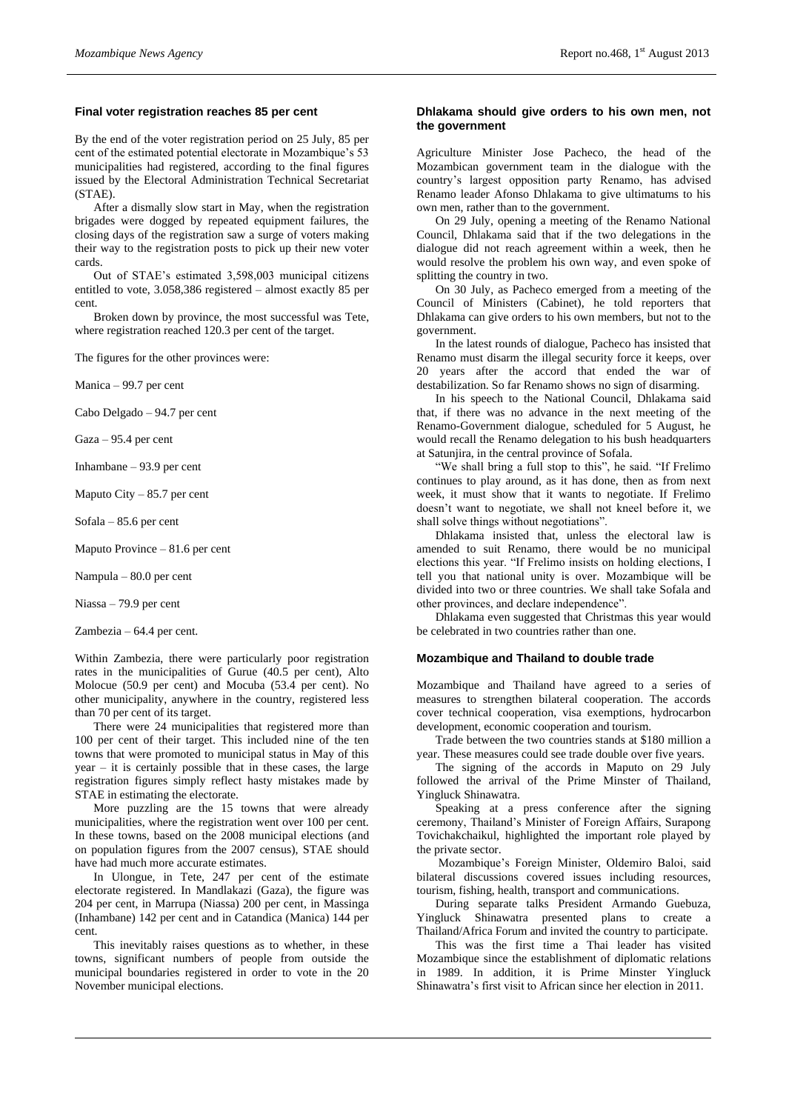#### **Final voter registration reaches 85 per cent**

By the end of the voter registration period on 25 July, 85 per cent of the estimated potential electorate in Mozambique's 53 municipalities had registered, according to the final figures issued by the Electoral Administration Technical Secretariat (STAE).

After a dismally slow start in May, when the registration brigades were dogged by repeated equipment failures, the closing days of the registration saw a surge of voters making their way to the registration posts to pick up their new voter cards.

Out of STAE's estimated 3,598,003 municipal citizens entitled to vote, 3.058,386 registered – almost exactly 85 per cent.

Broken down by province, the most successful was Tete, where registration reached 120.3 per cent of the target.

The figures for the other provinces were:

Manica – 99.7 per cent

Cabo Delgado – 94.7 per cent

Gaza – 95.4 per cent

Inhambane – 93.9 per cent

Maputo City – 85.7 per cent

Sofala – 85.6 per cent

Maputo Province – 81.6 per cent

Nampula – 80.0 per cent

Niassa – 79.9 per cent

Zambezia – 64.4 per cent.

Within Zambezia, there were particularly poor registration rates in the municipalities of Gurue (40.5 per cent), Alto Molocue (50.9 per cent) and Mocuba (53.4 per cent). No other municipality, anywhere in the country, registered less than 70 per cent of its target.

There were 24 municipalities that registered more than 100 per cent of their target. This included nine of the ten towns that were promoted to municipal status in May of this year – it is certainly possible that in these cases, the large registration figures simply reflect hasty mistakes made by STAE in estimating the electorate.

More puzzling are the 15 towns that were already municipalities, where the registration went over 100 per cent. In these towns, based on the 2008 municipal elections (and on population figures from the 2007 census), STAE should have had much more accurate estimates.

In Ulongue, in Tete, 247 per cent of the estimate electorate registered. In Mandlakazi (Gaza), the figure was 204 per cent, in Marrupa (Niassa) 200 per cent, in Massinga (Inhambane) 142 per cent and in Catandica (Manica) 144 per cent.

This inevitably raises questions as to whether, in these towns, significant numbers of people from outside the municipal boundaries registered in order to vote in the 20 November municipal elections.

#### **Dhlakama should give orders to his own men, not the government**

Agriculture Minister Jose Pacheco, the head of the Mozambican government team in the dialogue with the country's largest opposition party Renamo, has advised Renamo leader Afonso Dhlakama to give ultimatums to his own men, rather than to the government.

On 29 July, opening a meeting of the Renamo National Council, Dhlakama said that if the two delegations in the dialogue did not reach agreement within a week, then he would resolve the problem his own way, and even spoke of splitting the country in two.

On 30 July, as Pacheco emerged from a meeting of the Council of Ministers (Cabinet), he told reporters that Dhlakama can give orders to his own members, but not to the government.

In the latest rounds of dialogue, Pacheco has insisted that Renamo must disarm the illegal security force it keeps, over 20 years after the accord that ended the war of destabilization. So far Renamo shows no sign of disarming.

In his speech to the National Council, Dhlakama said that, if there was no advance in the next meeting of the Renamo-Government dialogue, scheduled for 5 August, he would recall the Renamo delegation to his bush headquarters at Satunjira, in the central province of Sofala.

"We shall bring a full stop to this", he said. "If Frelimo continues to play around, as it has done, then as from next week, it must show that it wants to negotiate. If Frelimo doesn't want to negotiate, we shall not kneel before it, we shall solve things without negotiations".

Dhlakama insisted that, unless the electoral law is amended to suit Renamo, there would be no municipal elections this year. "If Frelimo insists on holding elections, I tell you that national unity is over. Mozambique will be divided into two or three countries. We shall take Sofala and other provinces, and declare independence".

Dhlakama even suggested that Christmas this year would be celebrated in two countries rather than one.

#### **Mozambique and Thailand to double trade**

Mozambique and Thailand have agreed to a series of measures to strengthen bilateral cooperation. The accords cover technical cooperation, visa exemptions, hydrocarbon development, economic cooperation and tourism.

Trade between the two countries stands at \$180 million a year. These measures could see trade double over five years.

The signing of the accords in Maputo on 29 July followed the arrival of the Prime Minster of Thailand, Yingluck Shinawatra.

Speaking at a press conference after the signing ceremony, Thailand's Minister of Foreign Affairs, Surapong Tovichakchaikul, highlighted the important role played by the private sector.

Mozambique's Foreign Minister, Oldemiro Baloi, said bilateral discussions covered issues including resources, tourism, fishing, health, transport and communications.

During separate talks President Armando Guebuza, Yingluck Shinawatra presented plans to create a Thailand/Africa Forum and invited the country to participate.

This was the first time a Thai leader has visited Mozambique since the establishment of diplomatic relations in 1989. In addition, it is Prime Minster Yingluck Shinawatra's first visit to African since her election in 2011.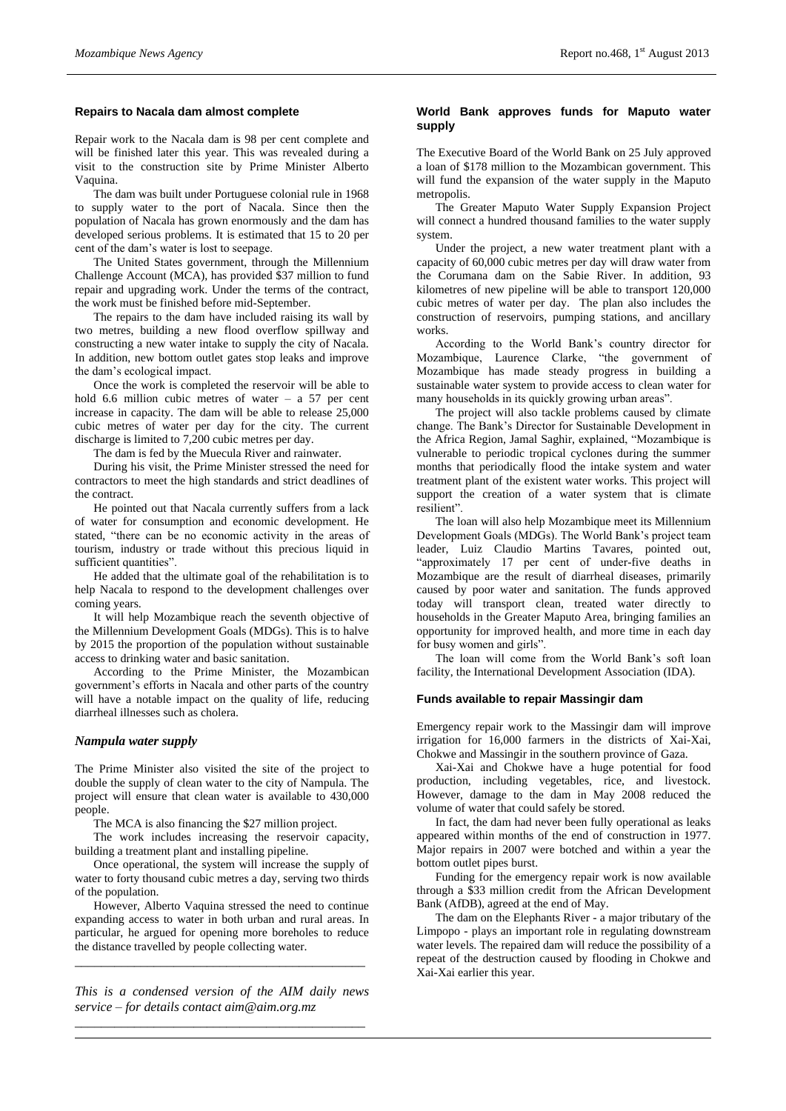# **Repairs to Nacala dam almost complete**

Repair work to the Nacala dam is 98 per cent complete and will be finished later this year. This was revealed during a visit to the construction site by Prime Minister Alberto Vaquina.

The dam was built under Portuguese colonial rule in 1968 to supply water to the port of Nacala. Since then the population of Nacala has grown enormously and the dam has developed serious problems. It is estimated that 15 to 20 per cent of the dam's water is lost to seepage.

The United States government, through the Millennium Challenge Account (MCA), has provided \$37 million to fund repair and upgrading work. Under the terms of the contract, the work must be finished before mid-September.

The repairs to the dam have included raising its wall by two metres, building a new flood overflow spillway and constructing a new water intake to supply the city of Nacala. In addition, new bottom outlet gates stop leaks and improve the dam's ecological impact.

Once the work is completed the reservoir will be able to hold 6.6 million cubic metres of water – a 57 per cent increase in capacity. The dam will be able to release 25,000 cubic metres of water per day for the city. The current discharge is limited to 7,200 cubic metres per day.

The dam is fed by the Muecula River and rainwater.

During his visit, the Prime Minister stressed the need for contractors to meet the high standards and strict deadlines of the contract.

He pointed out that Nacala currently suffers from a lack of water for consumption and economic development. He stated, "there can be no economic activity in the areas of tourism, industry or trade without this precious liquid in sufficient quantities".

He added that the ultimate goal of the rehabilitation is to help Nacala to respond to the development challenges over coming years.

It will help Mozambique reach the seventh objective of the Millennium Development Goals (MDGs). This is to halve by 2015 the proportion of the population without sustainable access to drinking water and basic sanitation.

According to the Prime Minister, the Mozambican government's efforts in Nacala and other parts of the country will have a notable impact on the quality of life, reducing diarrheal illnesses such as cholera.

# *Nampula water supply*

The Prime Minister also visited the site of the project to double the supply of clean water to the city of Nampula. The project will ensure that clean water is available to 430,000 people.

The MCA is also financing the \$27 million project.

The work includes increasing the reservoir capacity, building a treatment plant and installing pipeline.

Once operational, the system will increase the supply of water to forty thousand cubic metres a day, serving two thirds of the population.

However, Alberto Vaquina stressed the need to continue expanding access to water in both urban and rural areas. In particular, he argued for opening more boreholes to reduce the distance travelled by people collecting water.

*\_\_\_\_\_\_\_\_\_\_\_\_\_\_\_\_\_\_\_\_\_\_\_\_\_\_\_\_\_\_\_\_\_\_\_\_\_\_\_\_\_\_\_\_*

*This is a condensed version of the AIM daily news service – for details contact [aim@aim.org.mz](mailto:aim@aim.org.mz) \_\_\_\_\_\_\_\_\_\_\_\_\_\_\_\_\_\_\_\_\_\_\_\_\_\_\_\_\_\_\_\_\_\_\_\_\_\_\_\_\_\_\_\_*

## **World Bank approves funds for Maputo water supply**

The Executive Board of the World Bank on 25 July approved a loan of \$178 million to the Mozambican government. This will fund the expansion of the water supply in the Maputo metropolis.

The Greater Maputo Water Supply Expansion Project will connect a hundred thousand families to the water supply system.

Under the project, a new water treatment plant with a capacity of 60,000 cubic metres per day will draw water from the Corumana dam on the Sabie River. In addition, 93 kilometres of new pipeline will be able to transport 120,000 cubic metres of water per day. The plan also includes the construction of reservoirs, pumping stations, and ancillary works.

According to the World Bank's country director for Mozambique, Laurence Clarke, "the government of Mozambique has made steady progress in building a sustainable water system to provide access to clean water for many households in its quickly growing urban areas".

The project will also tackle problems caused by climate change. The Bank's Director for Sustainable Development in the Africa Region, Jamal Saghir, explained, "Mozambique is vulnerable to periodic tropical cyclones during the summer months that periodically flood the intake system and water treatment plant of the existent water works. This project will support the creation of a water system that is climate resilient".

The loan will also help Mozambique meet its Millennium Development Goals (MDGs). The World Bank's project team leader, Luiz Claudio Martins Tavares, pointed out, "approximately 17 per cent of under-five deaths in Mozambique are the result of diarrheal diseases, primarily caused by poor water and sanitation. The funds approved today will transport clean, treated water directly to households in the Greater Maputo Area, bringing families an opportunity for improved health, and more time in each day for busy women and girls".

The loan will come from the World Bank's soft loan facility, the International Development Association (IDA).

#### **Funds available to repair Massingir dam**

Emergency repair work to the Massingir dam will improve irrigation for 16,000 farmers in the districts of Xai-Xai, Chokwe and Massingir in the southern province of Gaza.

Xai-Xai and Chokwe have a huge potential for food production, including vegetables, rice, and livestock. However, damage to the dam in May 2008 reduced the volume of water that could safely be stored.

In fact, the dam had never been fully operational as leaks appeared within months of the end of construction in 1977. Major repairs in 2007 were botched and within a year the bottom outlet pipes burst.

Funding for the emergency repair work is now available through a \$33 million credit from the African Development Bank (AfDB), agreed at the end of May.

The dam on the Elephants River - a major tributary of the Limpopo - plays an important role in regulating downstream water levels. The repaired dam will reduce the possibility of a repeat of the destruction caused by flooding in Chokwe and Xai-Xai earlier this year.